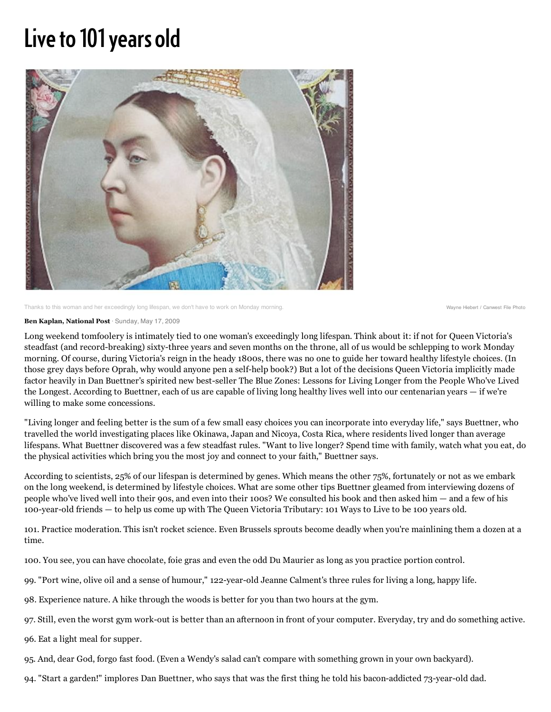## Live to 101 years old



Thanks to this woman and her exceedingly long lifespan, we don't have to work on Monday morning. Wayne Hiebert / Canwest File Photo

## **Ben Kaplan, National Post** · Sunday, May 17, 2009

Long weekend tomfoolery is intimately tied to one woman's exceedingly long lifespan. Think about it: if not for Queen Victoria's steadfast (and record-breaking) sixty-three years and seven months on the throne, all of us would be schlepping to work Monday morning. Of course, during Victoria's reign in the heady 1800s, there was no one to guide her toward healthy lifestyle choices. (In those grey days before Oprah, why would anyone pen a self-help book?) But a lot of the decisions Queen Victoria implicitly made factor heavily in Dan Buettner's spirited new best-seller The Blue Zones: Lessons for Living Longer from the People Who've Lived the Longest. According to Buettner, each of us are capable of living long healthy lives well into our centenarian years — if we're willing to make some concessions.

"Living longer and feeling better is the sum of a few small easy choices you can incorporate into everyday life," says Buettner, who travelled the world investigating places like Okinawa, Japan and Nicoya, Costa Rica, where residents lived longer than average lifespans. What Buettner discovered was a few steadfast rules. "Want to live longer? Spend time with family, watch what you eat, do the physical activities which bring you the most joy and connect to your faith," Buettner says.

According to scientists, 25% of our lifespan is determined by genes. Which means the other 75%, fortunately or not as we embark on the long weekend, is determined by lifestyle choices. What are some other tips Buettner gleamed from interviewing dozens of people who've lived well into their 90s, and even into their 100s? We consulted his book and then asked him — and a few of his 100-year-old friends — to help us come up with The Queen Victoria Tributary: 101 Ways to Live to be 100 years old.

101. Practice moderation. This isn't rocket science. Even Brussels sprouts become deadly when you're mainlining them a dozen at a time.

100. You see, you can have chocolate, foie gras and even the odd Du Maurier as long as you practice portion control.

- 99. "Port wine, olive oil and a sense of humour," 122-year-old Jeanne Calment's three rules for living a long, happy life.
- 98. Experience nature. A hike through the woods is better for you than two hours at the gym.
- 97. Still, even the worst gym work-out is better than an afternoon in front of your computer. Everyday, try and do something active.
- 96. Eat a light meal for supper.
- 95. And, dear God, forgo fast food. (Even a Wendy's salad can't compare with something grown in your own backyard).
- 94. "Start a garden!" implores Dan Buettner, who says that was the first thing he told his bacon-addicted 73-year-old dad.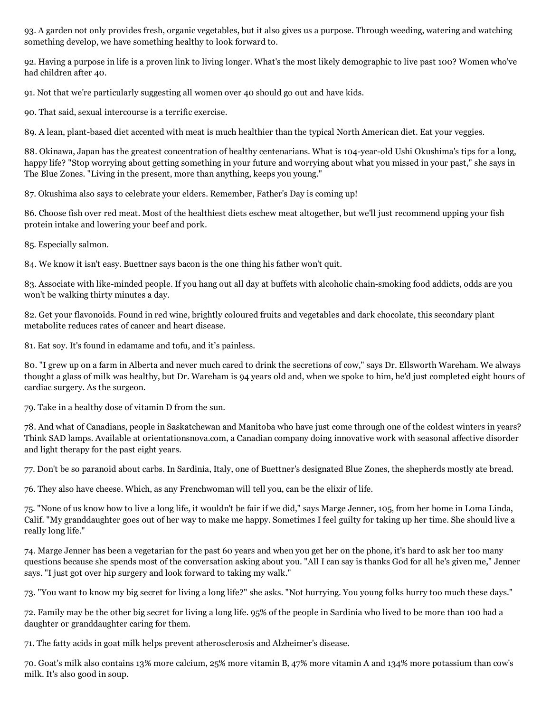93. A garden not only provides fresh, organic vegetables, but it also gives us a purpose. Through weeding, watering and watching something develop, we have something healthy to look forward to.

92. Having a purpose in life is a proven link to living longer. What's the most likely demographic to live past 100? Women who've had children after 40.

91. Not that we're particularly suggesting all women over 40 should go out and have kids.

90. That said, sexual intercourse is a terrific exercise.

89. A lean, plant-based diet accented with meat is much healthier than the typical North American diet. Eat your veggies.

88. Okinawa, Japan has the greatest concentration of healthy centenarians. What is 104-year-old Ushi Okushima's tips for a long, happy life? "Stop worrying about getting something in your future and worrying about what you missed in your past," she says in The Blue Zones. "Living in the present, more than anything, keeps you young."

87. Okushima also says to celebrate your elders. Remember, Father's Day is coming up!

86. Choose fish over red meat. Most of the healthiest diets eschew meat altogether, but we'll just recommend upping your fish protein intake and lowering your beef and pork.

85. Especially salmon.

84. We know it isn't easy. Buettner says bacon is the one thing his father won't quit.

83. Associate with like-minded people. If you hang out all day at buffets with alcoholic chain-smoking food addicts, odds are you won't be walking thirty minutes a day.

82. Get your flavonoids. Found in red wine, brightly coloured fruits and vegetables and dark chocolate, this secondary plant metabolite reduces rates of cancer and heart disease.

81. Eat soy. It's found in edamame and tofu, and it's painless.

80. "I grew up on a farm in Alberta and never much cared to drink the secretions of cow," says Dr. Ellsworth Wareham. We always thought a glass of milk was healthy, but Dr. Wareham is 94 years old and, when we spoke to him, he'd just completed eight hours of cardiac surgery. As the surgeon.

79. Take in a healthy dose of vitamin D from the sun.

78. And what of Canadians, people in Saskatchewan and Manitoba who have just come through one of the coldest winters in years? Think SAD lamps. Available at orientationsnova.com, a Canadian company doing innovative work with seasonal affective disorder and light therapy for the past eight years.

77. Don't be so paranoid about carbs. In Sardinia, Italy, one of Buettner's designated Blue Zones, the shepherds mostly ate bread.

76. They also have cheese. Which, as any Frenchwoman will tell you, can be the elixir of life.

75. "None of us know how to live a long life, it wouldn't be fair if we did," says Marge Jenner, 105, from her home in Loma Linda, Calif. "My granddaughter goes out of her way to make me happy. Sometimes I feel guilty for taking up her time. She should live a really long life."

74. Marge Jenner has been a vegetarian for the past 60 years and when you get her on the phone, it's hard to ask her too many questions because she spends most of the conversation asking about you. "All I can say is thanks God for all he's given me," Jenner says. "I just got over hip surgery and look forward to taking my walk."

73. "You want to know my big secret for living a long life?" she asks. "Not hurrying. You young folks hurry too much these days."

72. Family may be the other big secret for living a long life. 95% of the people in Sardinia who lived to be more than 100 had a daughter or granddaughter caring for them.

71. The fatty acids in goat milk helps prevent atherosclerosis and Alzheimer's disease.

70. Goat's milk also contains 13% more calcium, 25% more vitamin B, 47% more vitamin A and 134% more potassium than cow's milk. It's also good in soup.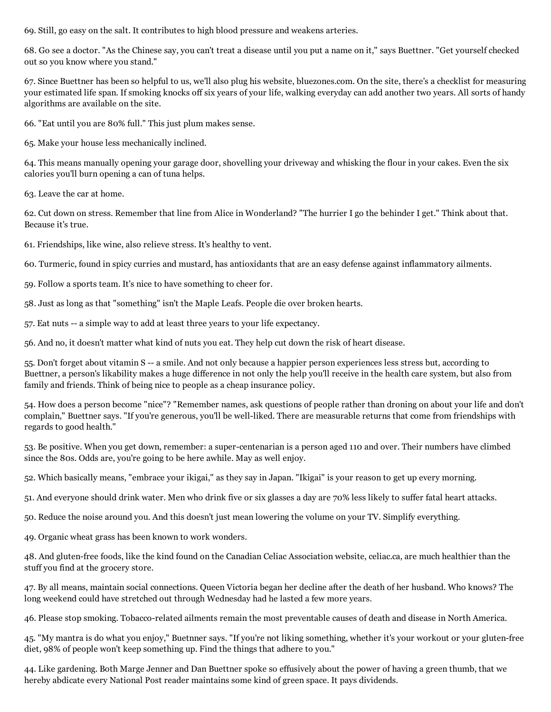69. Still, go easy on the salt. It contributes to high blood pressure and weakens arteries.

68. Go see a doctor. "As the Chinese say, you can't treat a disease until you put a name on it," says Buettner. "Get yourself checked out so you know where you stand."

67. Since Buettner has been so helpful to us, we'll also plug his website, bluezones.com. On the site, there's a checklist for measuring your estimated life span. If smoking knocks off six years of your life, walking everyday can add another two years. All sorts of handy algorithms are available on the site.

66. "Eat until you are 80% full." This just plum makes sense.

65. Make your house less mechanically inclined.

64. This means manually opening your garage door, shovelling your driveway and whisking the flour in your cakes. Even the six calories you'll burn opening a can of tuna helps.

63. Leave the car at home.

62. Cut down on stress. Remember that line from Alice in Wonderland? "The hurrier I go the behinder I get." Think about that. Because it's true.

61. Friendships, like wine, also relieve stress. It's healthy to vent.

60. Turmeric, found in spicy curries and mustard, has antioxidants that are an easy defense against inflammatory ailments.

- 59. Follow a sports team. It's nice to have something to cheer for.
- 58. Just as long as that "something" isn't the Maple Leafs. People die over broken hearts.
- 57. Eat nuts -- a simple way to add at least three years to your life expectancy.

56. And no, it doesn't matter what kind of nuts you eat. They help cut down the risk of heart disease.

55. Don't forget about vitamin S -- a smile. And not only because a happier person experiences less stress but, according to Buettner, a person's likability makes a huge difference in not only the help you'll receive in the health care system, but also from family and friends. Think of being nice to people as a cheap insurance policy.

54. How does a person become "nice"? "Remember names, ask questions of people rather than droning on about your life and don't complain," Buettner says. "If you're generous, you'll be well-liked. There are measurable returns that come from friendships with regards to good health."

53. Be positive. When you get down, remember: a super-centenarian is a person aged 110 and over. Their numbers have climbed since the 80s. Odds are, you're going to be here awhile. May as well enjoy.

52. Which basically means, "embrace your ikigai," as they say in Japan. "Ikigai" is your reason to get up every morning.

51. And everyone should drink water. Men who drink five or six glasses a day are 70% less likely to suffer fatal heart attacks.

50. Reduce the noise around you. And this doesn't just mean lowering the volume on your TV. Simplify everything.

49. Organic wheat grass has been known to work wonders.

48. And gluten-free foods, like the kind found on the Canadian Celiac Association website, celiac.ca, are much healthier than the stuff you find at the grocery store.

47. By all means, maintain social connections. Queen Victoria began her decline after the death of her husband. Who knows? The long weekend could have stretched out through Wednesday had he lasted a few more years.

46. Please stop smoking. Tobacco-related ailments remain the most preventable causes of death and disease in North America.

45. "My mantra is do what you enjoy," Buetnner says. "If you're not liking something, whether it's your workout or your gluten-free diet, 98% of people won't keep something up. Find the things that adhere to you."

44. Like gardening. Both Marge Jenner and Dan Buettner spoke so effusively about the power of having a green thumb, that we hereby abdicate every National Post reader maintains some kind of green space. It pays dividends.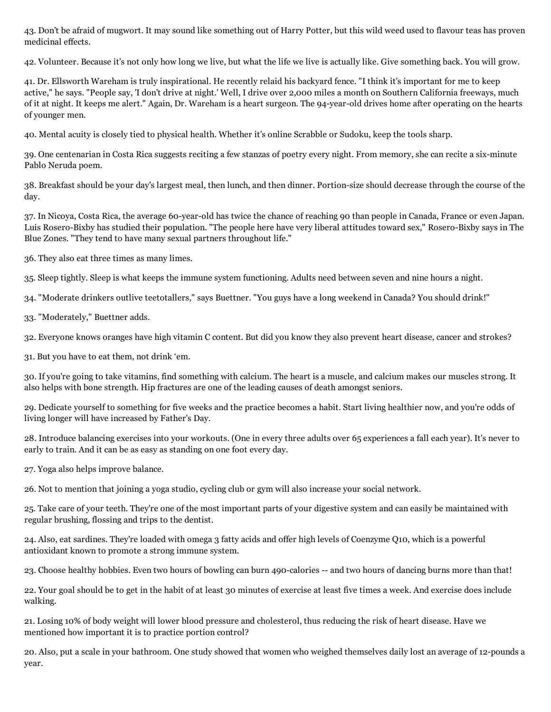43. Don't be afraid of mugwort. It may sound like something out of Harry Potter, but this wild weed used to flavour teas has proven medicinal effects.

42. Volunteer. Because it's not only how long we live, but what the life we live is actually like. Give something back. You will grow.

41. Dr. Ellsworth Wareham is truly inspirational. He recently relaid his backyard fence. "I think it's important for me to keep active," he says. "People say, 'I don't drive at night.' Well, I drive over 2,000 miles a month on Southern California freeways, much of it at night. It keeps me alert." Again, Dr. Wareham is a heart surgeon. The 94-year-old drives home after operating on the hearts of younger men.

40. Mental acuity is closely tied to physical health. Whether it's online Scrabble or Sudoku, keep the tools sharp.

39. One centenarian in Costa Rica suggests reciting a few stanzas of poetry every night. From memory, she can recite a six-minute Pablo Neruda poem.

38. Breakfast should be your day's largest meal, then lunch, and then dinner. Portion-size should decrease through the course of the day.

37. In Nicoya, Costa Rica, the average 60-year-old has twice the chance of reaching 90 than people in Canada, France or even Japan. Luis Rosero-Bixby has studied their population. "The people here have very liberal attitudes toward sex," Rosero-Bixby says in The Blue Zones. "They tend to have many sexual partners throughout life."

36. They also eat three times as many limes.

35. Sleep tightly. Sleep is what keeps the immune system functioning. Adults need between seven and nine hours a night.

34. "Moderate drinkers outlive teetotallers," says Buettner. "You guys have a long weekend in Canada? You should drink!"

33. "Moderately," Buettner adds.

32. Everyone knows oranges have high vitamin C content. But did you know they also prevent heart disease, cancer and strokes?

31. But you have to eat them, not drink 'em.

30. If you're going to take vitamins, find something with calcium. The heart is a muscle, and calcium makes our muscles strong. It also helps with bone strength. Hip fractures are one of the leading causes of death amongst seniors.

29. Dedicate yourself to something for five weeks and the practice becomes a habit. Start living healthier now, and you're odds of living longer will have increased by Father's Day.

28. Introduce balancing exercises into your workouts. (One in every three adults over 65 experiences a fall each year). It's never to early to train. And it can be as easy as standing on one foot every day.

27. Yoga also helps improve balance.

26. Not to mention that joining a yoga studio, cycling club or gym will also increase your social network.

25. Take care of your teeth. They're one of the most important parts of your digestive system and can easily be maintained with regular brushing, flossing and trips to the dentist.

24. Also, eat sardines. They're loaded with omega 3 fatty acids and offer high levels of Coenzyme Q10, which is a powerful antioxidant known to promote a strong immune system.

23. Choose healthy hobbies. Even two hours of bowling can burn 490-calories -- and two hours of dancing burns more than that!

22. Your goal should be to get in the habit of at least 30 minutes of exercise at least five times a week. And exercise does include walking.

21. Losing 10% of body weight will lower blood pressure and cholesterol, thus reducing the risk of heart disease. Have we mentioned how important it is to practice portion control?

20. Also, put a scale in your bathroom. One study showed that women who weighed themselves daily lost an average of 12-pounds a year.